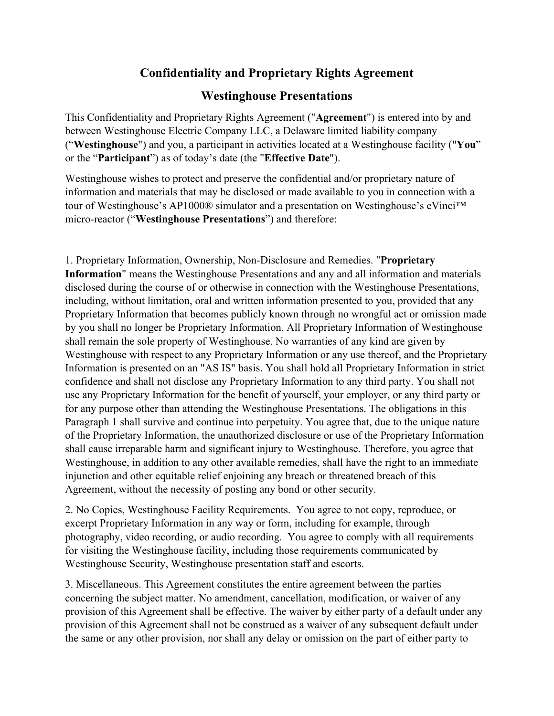## **Confidentiality and Proprietary Rights Agreement**

## **Westinghouse Presentations**

This Confidentiality and Proprietary Rights Agreement ("**Agreement**") is entered into by and between Westinghouse Electric Company LLC, a Delaware limited liability company ("**Westinghouse**") and you, a participant in activities located at a Westinghouse facility ("**You**" or the "**Participant**") as of today's date (the "**Effective Date**").

Westinghouse wishes to protect and preserve the confidential and/or proprietary nature of information and materials that may be disclosed or made available to you in connection with a tour of Westinghouse's AP1000® simulator and a presentation on Westinghouse's eVinci™ micro-reactor ("**Westinghouse Presentations**") and therefore:

1. Proprietary Information, Ownership, Non-Disclosure and Remedies. "**Proprietary Information**" means the Westinghouse Presentations and any and all information and materials disclosed during the course of or otherwise in connection with the Westinghouse Presentations, including, without limitation, oral and written information presented to you, provided that any Proprietary Information that becomes publicly known through no wrongful act or omission made by you shall no longer be Proprietary Information. All Proprietary Information of Westinghouse shall remain the sole property of Westinghouse. No warranties of any kind are given by Westinghouse with respect to any Proprietary Information or any use thereof, and the Proprietary Information is presented on an "AS IS" basis. You shall hold all Proprietary Information in strict confidence and shall not disclose any Proprietary Information to any third party. You shall not use any Proprietary Information for the benefit of yourself, your employer, or any third party or for any purpose other than attending the Westinghouse Presentations. The obligations in this Paragraph 1 shall survive and continue into perpetuity. You agree that, due to the unique nature of the Proprietary Information, the unauthorized disclosure or use of the Proprietary Information shall cause irreparable harm and significant injury to Westinghouse. Therefore, you agree that Westinghouse, in addition to any other available remedies, shall have the right to an immediate injunction and other equitable relief enjoining any breach or threatened breach of this Agreement, without the necessity of posting any bond or other security.

2. No Copies, Westinghouse Facility Requirements. You agree to not copy, reproduce, or excerpt Proprietary Information in any way or form, including for example, through photography, video recording, or audio recording. You agree to comply with all requirements for visiting the Westinghouse facility, including those requirements communicated by Westinghouse Security, Westinghouse presentation staff and escorts.

3. Miscellaneous. This Agreement constitutes the entire agreement between the parties concerning the subject matter. No amendment, cancellation, modification, or waiver of any provision of this Agreement shall be effective. The waiver by either party of a default under any provision of this Agreement shall not be construed as a waiver of any subsequent default under the same or any other provision, nor shall any delay or omission on the part of either party to